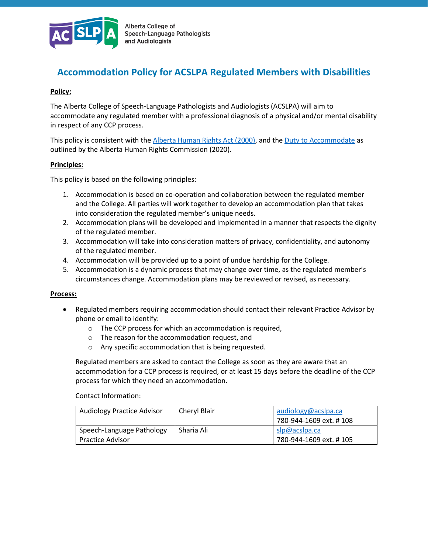

# **Accommodation Policy for ACSLPA Regulated Members with Disabilities**

## **Policy:**

The Alberta College of Speech-Language Pathologists and Audiologists (ACSLPA) will aim to accommodate any regulated member with a professional diagnosis of a physical and/or mental disability in respect of any CCP process.

This policy is consistent with th[e Alberta Human Rights Act \(2000\),](https://www.qp.alberta.ca/documents/Acts/A25P5.pdf) and the [Duty to Accommodate](https://albertahumanrights.ab.ca/employment/employer_info/accommodation/Pages/duty_to_accommodate.aspx) as outlined by the Alberta Human Rights Commission (2020).

### **Principles:**

This policy is based on the following principles:

- 1. Accommodation is based on co-operation and collaboration between the regulated member and the College. All parties will work together to develop an accommodation plan that takes into consideration the regulated member's unique needs.
- 2. Accommodation plans will be developed and implemented in a manner that respects the dignity of the regulated member.
- 3. Accommodation will take into consideration matters of privacy, confidentiality, and autonomy of the regulated member.
- 4. Accommodation will be provided up to a point of undue hardship for the College.
- 5. Accommodation is a dynamic process that may change over time, as the regulated member's circumstances change. Accommodation plans may be reviewed or revised, as necessary.

#### **Process:**

- Regulated members requiring accommodation should contact their relevant Practice Advisor by phone or email to identify:
	- o The CCP process for which an accommodation is required,
	- o The reason for the accommodation request, and
	- o Any specific accommodation that is being requested.

Regulated members are asked to contact the College as soon as they are aware that an accommodation for a CCP process is required, or at least 15 days before the deadline of the CCP process for which they need an accommodation.

Contact Information:

| Audiology Practice Advisor | Cheryl Blair | audiology@acslpa.ca     |
|----------------------------|--------------|-------------------------|
|                            |              | 780-944-1609 ext. # 108 |
| Speech-Language Pathology  | Sharia Ali   | slp@acslpa.ca           |
| <b>Practice Advisor</b>    |              | 780-944-1609 ext. # 105 |